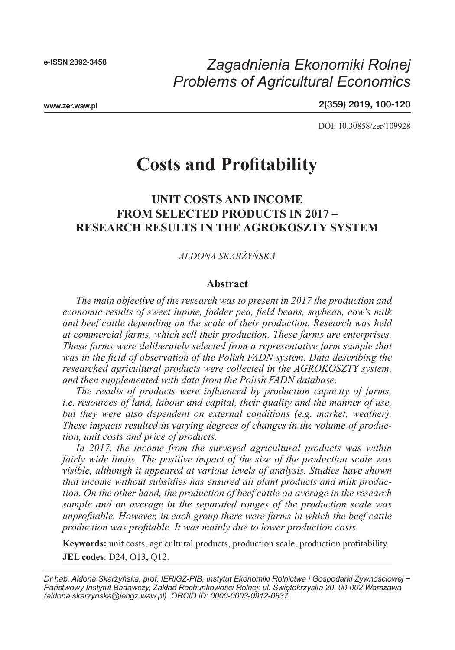e-ISSN 2392-3458

# *Problems of Agricultural Economics Zagadnienia Ekonomiki Rolnej*

www.zer.waw.pl

2(359) 2019, 100-120

DOI: 10.30858/zer/109928

# **Costs and Profitability**

### **UNIT COSTS AND INCOME FROM SELECTED PRODUCTS IN 2017 – RESEARCH RESULTS IN THE AGROKOSZTY SYSTEM**

#### *ALDONA SKARŻYŃSKA*

#### **Abstract**

*The main objective of the research was to present in 2017 the production and economic results of sweet lupine, fodder pea, field beans, soybean, cow's milk and beef cattle depending on the scale of their production. Research was held at commercial farms, which sell their production. These farms are enterprises. These farms were deliberately selected from a representative farm sample that was in the field of observation of the Polish FADN system. Data describing the researched agricultural products were collected in the AGROKOSZTY system, and then supplemented with data from the Polish FADN database.*

*The results of products were influenced by production capacity of farms, i.e. resources of land, labour and capital, their quality and the manner of use, but they were also dependent on external conditions (e.g. market, weather). These impacts resulted in varying degrees of changes in the volume of production, unit costs and price of products.*

*In 2017, the income from the surveyed agricultural products was within fairly wide limits. The positive impact of the size of the production scale was visible, although it appeared at various levels of analysis. Studies have shown that income without subsidies has ensured all plant products and milk production. On the other hand, the production of beef cattle on average in the research sample and on average in the separated ranges of the production scale was unprofitable. However, in each group there were farms in which the beef cattle production was profitable. It was mainly due to lower production costs.*

**Keywords:** unit costs, agricultural products, production scale, production profitability. **JEL codes**: D24, O13, Q12.

*Dr hab. Aldona Skarżyńska, prof. IERiGŻ-PIB, Instytut Ekonomiki Rolnictwa i Gospodarki Żywnościowej − Państwowy Instytut Badawczy, Zakład Rachunkowości Rolnej; ul. Świętokrzyska 20, 00-002 Warszawa (aldona.skarzynska@ierigz.waw.pl). ORCID iD: 0000-0003-0912-0837.*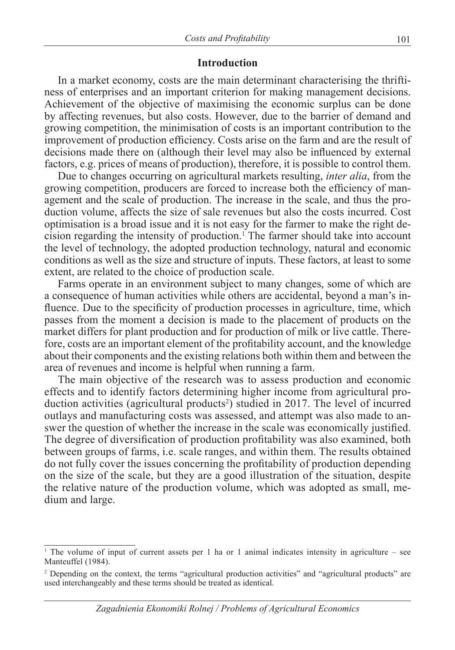#### **Introduction**

In a market economy, costs are the main determinant characterising the thriftiness of enterprises and an important criterion for making management decisions. Achievement of the objective of maximising the economic surplus can be done by affecting revenues, but also costs. However, due to the barrier of demand and growing competition, the minimisation of costs is an important contribution to the improvement of production efficiency. Costs arise on the farm and are the result of decisions made there on (although their level may also be influenced by external factors, e.g. prices of means of production), therefore, it is possible to control them.

Due to changes occurring on agricultural markets resulting, *inter alia*, from the growing competition, producers are forced to increase both the efficiency of management and the scale of production. The increase in the scale, and thus the production volume, affects the size of sale revenues but also the costs incurred. Cost optimisation is a broad issue and it is not easy for the farmer to make the right decision regarding the intensity of production.<sup>1</sup> The farmer should take into account the level of technology, the adopted production technology, natural and economic conditions as well as the size and structure of inputs. These factors, at least to some extent, are related to the choice of production scale.

Farms operate in an environment subject to many changes, some of which are a consequence of human activities while others are accidental, beyond a man's influence. Due to the specificity of production processes in agriculture, time, which passes from the moment a decision is made to the placement of products on the market differs for plant production and for production of milk or live cattle. Therefore, costs are an important element of the profitability account, and the knowledge about their components and the existing relations both within them and between the area of revenues and income is helpful when running a farm.

The main objective of the research was to assess production and economic effects and to identify factors determining higher income from agricultural production activities (agricultural products<sup>2</sup>) studied in 2017. The level of incurred outlays and manufacturing costs was assessed, and attempt was also made to answer the question of whether the increase in the scale was economically justified. The degree of diversification of production profitability was also examined, both between groups of farms, i.e. scale ranges, and within them. The results obtained do not fully cover the issues concerning the profitability of production depending on the size of the scale, but they are a good illustration of the situation, despite the relative nature of the production volume, which was adopted as small, medium and large.

<sup>1</sup> The volume of input of current assets per 1 ha or 1 animal indicates intensity in agriculture – see Manteuffel (1984).

<sup>&</sup>lt;sup>2</sup> Depending on the context, the terms "agricultural production activities" and "agricultural products" are used interchangeably and these terms should be treated as identical.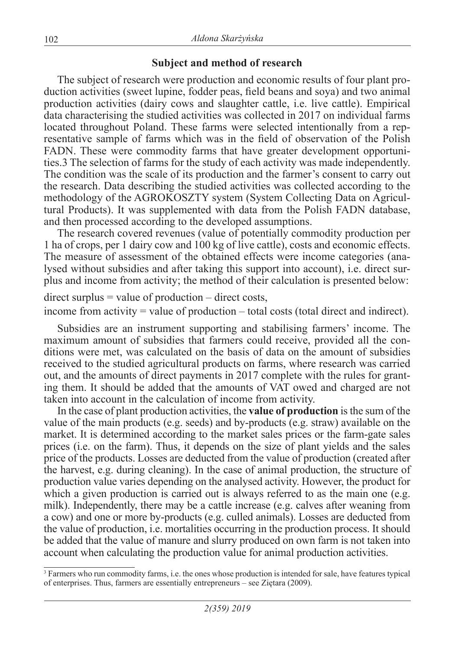### **Subject and method of research**

The subject of research were production and economic results of four plant production activities (sweet lupine, fodder peas, field beans and soya) and two animal production activities (dairy cows and slaughter cattle, i.e. live cattle). Empirical data characterising the studied activities was collected in 2017 on individual farms located throughout Poland. These farms were selected intentionally from a representative sample of farms which was in the field of observation of the Polish FADN. These were commodity farms that have greater development opportunities.3 The selection of farms for the study of each activity was made independently. The condition was the scale of its production and the farmer's consent to carry out the research. Data describing the studied activities was collected according to the methodology of the AGROKOSZTY system (System Collecting Data on Agricultural Products). It was supplemented with data from the Polish FADN database, and then processed according to the developed assumptions.

The research covered revenues (value of potentially commodity production per 1 ha of crops, per 1 dairy cow and 100 kg of live cattle), costs and economic effects. The measure of assessment of the obtained effects were income categories (analysed without subsidies and after taking this support into account), i.e. direct surplus and income from activity; the method of their calculation is presented below:

 $direct surplus = value of production - direct costs,$ 

income from activity  $=$  value of production  $-$  total costs (total direct and indirect).

Subsidies are an instrument supporting and stabilising farmers' income. The maximum amount of subsidies that farmers could receive, provided all the conditions were met, was calculated on the basis of data on the amount of subsidies received to the studied agricultural products on farms, where research was carried out, and the amounts of direct payments in 2017 complete with the rules for granting them. It should be added that the amounts of VAT owed and charged are not taken into account in the calculation of income from activity.

In the case of plant production activities, the **value of production** is the sum of the value of the main products (e.g. seeds) and by-products (e.g. straw) available on the market. It is determined according to the market sales prices or the farm-gate sales prices (i.e. on the farm). Thus, it depends on the size of plant yields and the sales price of the products. Losses are deducted from the value of production (created after the harvest, e.g. during cleaning). In the case of animal production, the structure of production value varies depending on the analysed activity. However, the product for which a given production is carried out is always referred to as the main one (e.g. milk). Independently, there may be a cattle increase (e.g. calves after weaning from a cow) and one or more by-products (e.g. culled animals). Losses are deducted from the value of production, i.e. mortalities occurring in the production process. It should be added that the value of manure and slurry produced on own farm is not taken into account when calculating the production value for animal production activities.

<sup>&</sup>lt;sup>3</sup> Farmers who run commodity farms, i.e. the ones whose production is intended for sale, have features typical of enterprises. Thus, farmers are essentially entrepreneurs – see Ziętara (2009).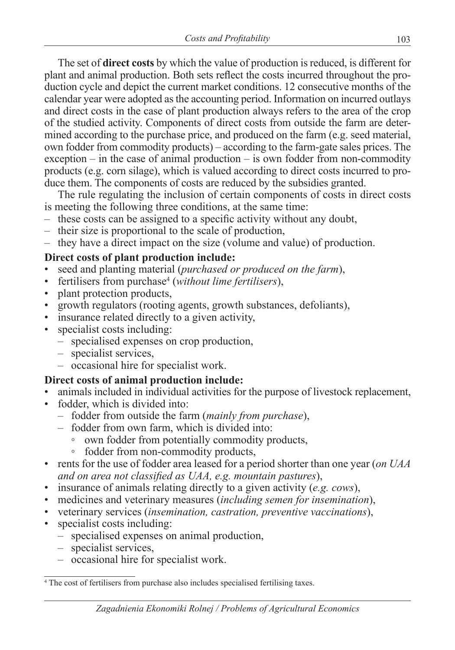The set of **direct costs** by which the value of production is reduced, is different for plant and animal production. Both sets reflect the costs incurred throughout the production cycle and depict the current market conditions. 12 consecutive months of the calendar year were adopted as the accounting period. Information on incurred outlays and direct costs in the case of plant production always refers to the area of the crop of the studied activity. Components of direct costs from outside the farm are determined according to the purchase price, and produced on the farm (e.g. seed material, own fodder from commodity products) – according to the farm-gate sales prices. The exception – in the case of animal production – is own fodder from non-commodity products (e.g. corn silage), which is valued according to direct costs incurred to produce them. The components of costs are reduced by the subsidies granted.

The rule regulating the inclusion of certain components of costs in direct costs is meeting the following three conditions, at the same time:

- these costs can be assigned to a specific activity without any doubt,
- their size is proportional to the scale of production,
- they have a direct impact on the size (volume and value) of production.

### **Direct costs of plant production include:**

- seed and planting material (*purchased or produced on the farm*),
- fertilisers from purchase<sup>4</sup> (*without lime fertilisers*),
- plant protection products,
- growth regulators (rooting agents, growth substances, defoliants),
- insurance related directly to a given activity,
- specialist costs including:
	- specialised expenses on crop production,
	- specialist services,
	- occasional hire for specialist work.

### **Direct costs of animal production include:**

- animals included in individual activities for the purpose of livestock replacement,
- fodder, which is divided into:
	- fodder from outside the farm (*mainly from purchase*),
	- fodder from own farm, which is divided into:
		- own fodder from potentially commodity products,
		- fodder from non-commodity products,
- rents for the use of fodder area leased for a period shorter than one year (*on UAA and on area not classified as UAA, e.g. mountain pastures*),
- insurance of animals relating directly to a given activity (*e.g. cows*),
- medicines and veterinary measures (*including semen for insemination*),
- veterinary services (*insemination, castration, preventive vaccinations*),
- specialist costs including:
	- specialised expenses on animal production,
	- specialist services,
	- occasional hire for specialist work.

<sup>&</sup>lt;sup>4</sup> The cost of fertilisers from purchase also includes specialised fertilising taxes.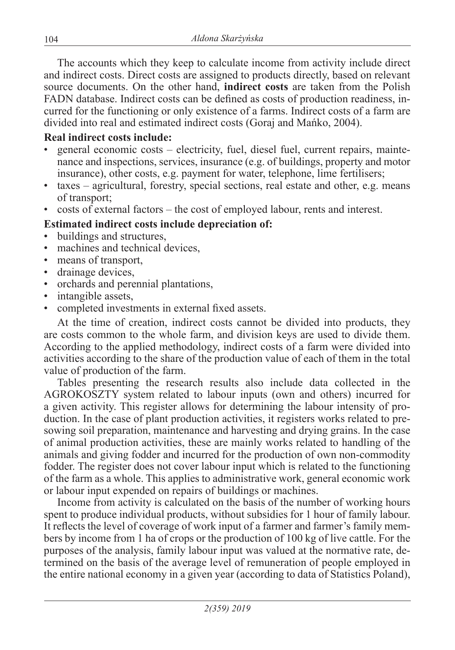The accounts which they keep to calculate income from activity include direct and indirect costs. Direct costs are assigned to products directly, based on relevant source documents. On the other hand, **indirect costs** are taken from the Polish FADN database. Indirect costs can be defined as costs of production readiness, incurred for the functioning or only existence of a farms. Indirect costs of a farm are divided into real and estimated indirect costs (Goraj and Mańko, 2004).

### **Real indirect costs include:**

- general economic costs electricity, fuel, diesel fuel, current repairs, maintenance and inspections, services, insurance (e.g. of buildings, property and motor insurance), other costs, e.g. payment for water, telephone, lime fertilisers;
- taxes agricultural, forestry, special sections, real estate and other, e.g. means of transport;
- costs of external factors the cost of employed labour, rents and interest.

## **Estimated indirect costs include depreciation of:**

- buildings and structures,
- machines and technical devices.
- means of transport,
- drainage devices,
- orchards and perennial plantations,
- intangible assets,
- completed investments in external fixed assets.

At the time of creation, indirect costs cannot be divided into products, they are costs common to the whole farm, and division keys are used to divide them. According to the applied methodology, indirect costs of a farm were divided into activities according to the share of the production value of each of them in the total value of production of the farm.

Tables presenting the research results also include data collected in the AGROKOSZTY system related to labour inputs (own and others) incurred for a given activity. This register allows for determining the labour intensity of production. In the case of plant production activities, it registers works related to presowing soil preparation, maintenance and harvesting and drying grains. In the case of animal production activities, these are mainly works related to handling of the animals and giving fodder and incurred for the production of own non-commodity fodder. The register does not cover labour input which is related to the functioning of the farm as a whole. This applies to administrative work, general economic work or labour input expended on repairs of buildings or machines.

Income from activity is calculated on the basis of the number of working hours spent to produce individual products, without subsidies for 1 hour of family labour. It reflects the level of coverage of work input of a farmer and farmer's family members by income from 1 ha of crops or the production of 100 kg of live cattle. For the purposes of the analysis, family labour input was valued at the normative rate, determined on the basis of the average level of remuneration of people employed in the entire national economy in a given year (according to data of Statistics Poland),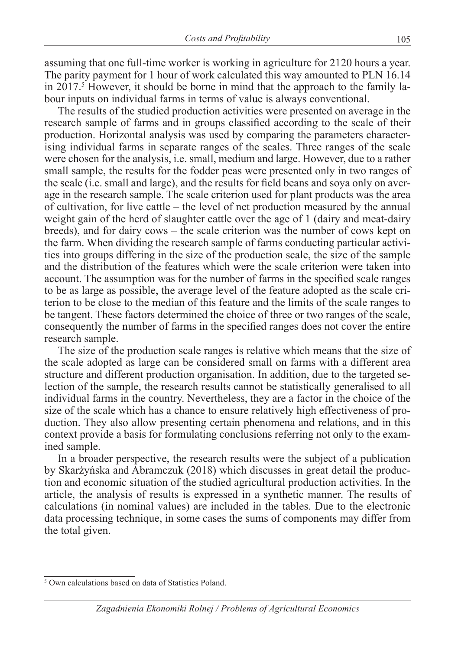assuming that one full-time worker is working in agriculture for 2120 hours a year. The parity payment for 1 hour of work calculated this way amounted to PLN 16.14 in 2017.<sup>5</sup> However, it should be borne in mind that the approach to the family labour inputs on individual farms in terms of value is always conventional.

The results of the studied production activities were presented on average in the research sample of farms and in groups classified according to the scale of their production. Horizontal analysis was used by comparing the parameters characterising individual farms in separate ranges of the scales. Three ranges of the scale were chosen for the analysis, i.e. small, medium and large. However, due to a rather small sample, the results for the fodder peas were presented only in two ranges of the scale (i.e. small and large), and the results for field beans and soya only on average in the research sample. The scale criterion used for plant products was the area of cultivation, for live cattle – the level of net production measured by the annual weight gain of the herd of slaughter cattle over the age of 1 (dairy and meat-dairy breeds), and for dairy cows – the scale criterion was the number of cows kept on the farm. When dividing the research sample of farms conducting particular activities into groups differing in the size of the production scale, the size of the sample and the distribution of the features which were the scale criterion were taken into account. The assumption was for the number of farms in the specified scale ranges to be as large as possible, the average level of the feature adopted as the scale criterion to be close to the median of this feature and the limits of the scale ranges to be tangent. These factors determined the choice of three or two ranges of the scale, consequently the number of farms in the specified ranges does not cover the entire research sample.

The size of the production scale ranges is relative which means that the size of the scale adopted as large can be considered small on farms with a different area structure and different production organisation. In addition, due to the targeted selection of the sample, the research results cannot be statistically generalised to all individual farms in the country. Nevertheless, they are a factor in the choice of the size of the scale which has a chance to ensure relatively high effectiveness of production. They also allow presenting certain phenomena and relations, and in this context provide a basis for formulating conclusions referring not only to the examined sample.

In a broader perspective, the research results were the subject of a publication by Skarżyńska and Abramczuk (2018) which discusses in great detail the production and economic situation of the studied agricultural production activities. In the article, the analysis of results is expressed in a synthetic manner. The results of calculations (in nominal values) are included in the tables. Due to the electronic data processing technique, in some cases the sums of components may differ from the total given.

<sup>5</sup> Own calculations based on data of Statistics Poland.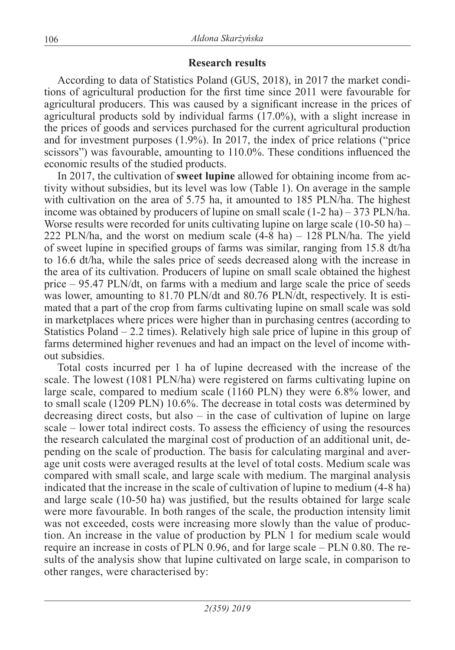### **Research results**

According to data of Statistics Poland (GUS, 2018), in 2017 the market conditions of agricultural production for the first time since 2011 were favourable for agricultural producers. This was caused by a significant increase in the prices of agricultural products sold by individual farms (17.0%), with a slight increase in the prices of goods and services purchased for the current agricultural production and for investment purposes (1.9%). In 2017, the index of price relations ("price scissors") was favourable, amounting to 110.0%. These conditions influenced the economic results of the studied products.

In 2017, the cultivation of **sweet lupine** allowed for obtaining income from activity without subsidies, but its level was low (Table 1). On average in the sample with cultivation on the area of 5.75 ha, it amounted to 185 PLN/ha. The highest income was obtained by producers of lupine on small scale  $(1-2 \text{ ha}) - 373 \text{ PLN/ha}$ . Worse results were recorded for units cultivating lupine on large scale (10-50 ha) – 222 PLN/ha, and the worst on medium scale (4-8 ha) – 128 PLN/ha. The yield of sweet lupine in specified groups of farms was similar, ranging from 15.8 dt/ha to 16.6 dt/ha, while the sales price of seeds decreased along with the increase in the area of its cultivation. Producers of lupine on small scale obtained the highest price – 95.47 PLN/dt, on farms with a medium and large scale the price of seeds was lower, amounting to 81.70 PLN/dt and 80.76 PLN/dt, respectively. It is esti-mated that a part of the crop from farms cultivating lupine on small scale was sold in marketplaces where prices were higher than in purchasing centres (according to Statistics Poland  $-2.2$  times). Relatively high sale price of lupine in this group of farms determined higher revenues and had an impact on the level of income without subsidies.

Total costs incurred per 1 ha of lupine decreased with the increase of the scale. The lowest (1081 PLN/ha) were registered on farms cultivating lupine on large scale, compared to medium scale (1160 PLN) they were 6.8% lower, and to small scale (1209 PLN) 10.6%. The decrease in total costs was determined by decreasing direct costs, but also – in the case of cultivation of lupine on large scale – lower total indirect costs. To assess the efficiency of using the resources the research calculated the marginal cost of production of an additional unit, depending on the scale of production. The basis for calculating marginal and average unit costs were averaged results at the level of total costs. Medium scale was compared with small scale, and large scale with medium. The marginal analysis indicated that the increase in the scale of cultivation of lupine to medium (4-8 ha) and large scale (10-50 ha) was justified, but the results obtained for large scale were more favourable. In both ranges of the scale, the production intensity limit was not exceeded, costs were increasing more slowly than the value of production. An increase in the value of production by PLN 1 for medium scale would require an increase in costs of PLN 0.96, and for large scale – PLN 0.80. The results of the analysis show that lupine cultivated on large scale, in comparison to other ranges, were characterised by: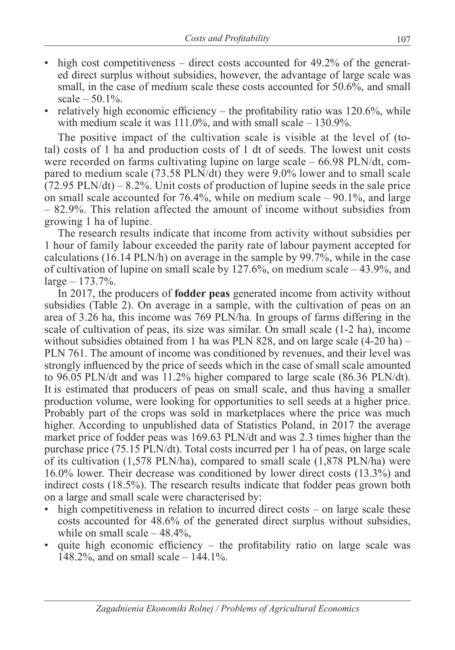- high cost competitiveness direct costs accounted for 49.2% of the generated direct surplus without subsidies, however, the advantage of large scale was small, in the case of medium scale these costs accounted for 50.6%, and small scale  $-50.1%$ .
- relatively high economic efficiency the profitability ratio was  $120.6\%$ , while with medium scale it was 111.0%, and with small scale – 130.9%.

The positive impact of the cultivation scale is visible at the level of (total) costs of 1 ha and production costs of 1 dt of seeds. The lowest unit costs were recorded on farms cultivating lupine on large scale – 66.98 PLN/dt, compared to medium scale (73.58 PLN/dt) they were 9.0% lower and to small scale  $(72.95 \text{ PLN/dt}) - 8.2\%$ . Unit costs of production of lupine seeds in the sale price on small scale accounted for  $76.4\%$ , while on medium scale  $-90.1\%$ , and large – 82.9%. This relation affected the amount of income without subsidies from growing 1 ha of lupine.

The research results indicate that income from activity without subsidies per 1 hour of family labour exceeded the parity rate of labour payment accepted for calculations (16.14 PLN/h) on average in the sample by 99.7%, while in the case of cultivation of lupine on small scale by 127.6%, on medium scale – 43.9%, and  $large - 173.7%$ .

In 2017, the producers of **fodder peas** generated income from activity without subsidies (Table 2). On average in a sample, with the cultivation of peas on an area of 3.26 ha, this income was 769 PLN/ha. In groups of farms differing in the scale of cultivation of peas, its size was similar. On small scale (1-2 ha), income without subsidies obtained from 1 ha was PLN 828, and on large scale (4-20 ha) – PLN 761. The amount of income was conditioned by revenues, and their level was strongly influenced by the price of seeds which in the case of small scale amounted to 96.05 PLN/dt and was 11.2% higher compared to large scale (86.36 PLN/dt). It is estimated that producers of peas on small scale, and thus having a smaller production volume, were looking for opportunities to sell seeds at a higher price. Probably part of the crops was sold in marketplaces where the price was much higher. According to unpublished data of Statistics Poland, in 2017 the average market price of fodder peas was 169.63 PLN/dt and was 2.3 times higher than the purchase price (75.15 PLN/dt). Total costs incurred per 1 ha of peas, on large scale of its cultivation (1,578 PLN/ha), compared to small scale (1,878 PLN/ha) were 16.0% lower. Their decrease was conditioned by lower direct costs (13.3%) and indirect costs (18.5%). The research results indicate that fodder peas grown both on a large and small scale were characterised by:

- high competitiveness in relation to incurred direct costs on large scale these costs accounted for 48.6% of the generated direct surplus without subsidies, while on small scale  $-48.4\%$ ,
- quite high economic efficiency the profitability ratio on large scale was 148.2%, and on small scale – 144.1%.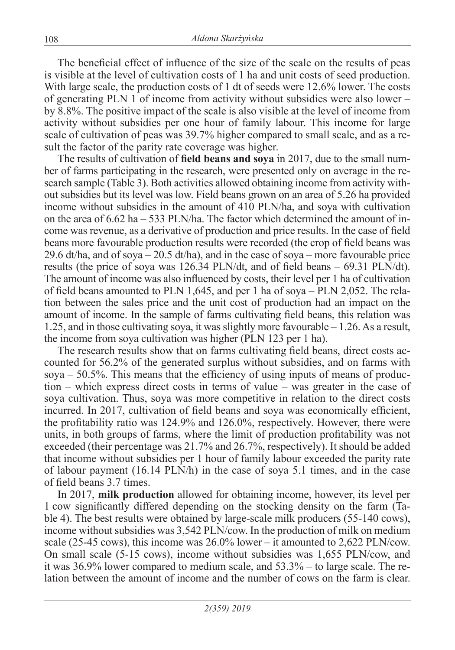The beneficial effect of influence of the size of the scale on the results of peas is visible at the level of cultivation costs of 1 ha and unit costs of seed production. With large scale, the production costs of 1 dt of seeds were 12.6% lower. The costs of generating PLN 1 of income from activity without subsidies were also lower – by 8.8%. The positive impact of the scale is also visible at the level of income from activity without subsidies per one hour of family labour. This income for large scale of cultivation of peas was 39.7% higher compared to small scale, and as a result the factor of the parity rate coverage was higher.

The results of cultivation of **field beans and soya** in 2017, due to the small number of farms participating in the research, were presented only on average in the research sample (Table 3). Both activities allowed obtaining income from activity without subsidies but its level was low. Field beans grown on an area of 5.26 ha provided income without subsidies in the amount of 410 PLN/ha, and soya with cultivation on the area of  $6.62$  ha  $-533$  PLN/ha. The factor which determined the amount of income was revenue, as a derivative of production and price results. In the case of field beans more favourable production results were recorded (the crop of field beans was 29.6 dt/ha, and of soya – 20.5 dt/ha), and in the case of soya – more favourable price results (the price of soya was 126.34 PLN/dt, and of field beans – 69.31 PLN/dt). The amount of income was also influenced by costs, their level per 1 ha of cultivation of field beans amounted to PLN 1,645, and per 1 ha of soya – PLN 2,052. The relation between the sales price and the unit cost of production had an impact on the amount of income. In the sample of farms cultivating field beans, this relation was 1.25, and in those cultivating soya, it was slightly more favourable – 1.26. As a result, the income from soya cultivation was higher (PLN 123 per 1 ha).

The research results show that on farms cultivating field beans, direct costs accounted for 56.2% of the generated surplus without subsidies, and on farms with soya – 50.5%. This means that the efficiency of using inputs of means of production – which express direct costs in terms of value – was greater in the case of soya cultivation. Thus, soya was more competitive in relation to the direct costs incurred. In 2017, cultivation of field beans and soya was economically efficient, the profitability ratio was 124.9% and 126.0%, respectively. However, there were units, in both groups of farms, where the limit of production profitability was not exceeded (their percentage was 21.7% and 26.7%, respectively). It should be added that income without subsidies per 1 hour of family labour exceeded the parity rate of labour payment (16.14 PLN/h) in the case of soya 5.1 times, and in the case of field beans 3.7 times.

In 2017, **milk production** allowed for obtaining income, however, its level per 1 cow significantly differed depending on the stocking density on the farm (Table 4). The best results were obtained by large-scale milk producers (55-140 cows), income without subsidies was 3,542 PLN/cow. In the production of milk on medium scale (25-45 cows), this income was  $26.0\%$  lower – it amounted to 2,622 PLN/cow. On small scale (5-15 cows), income without subsidies was 1,655 PLN/cow, and it was 36.9% lower compared to medium scale, and 53.3% – to large scale. The relation between the amount of income and the number of cows on the farm is clear.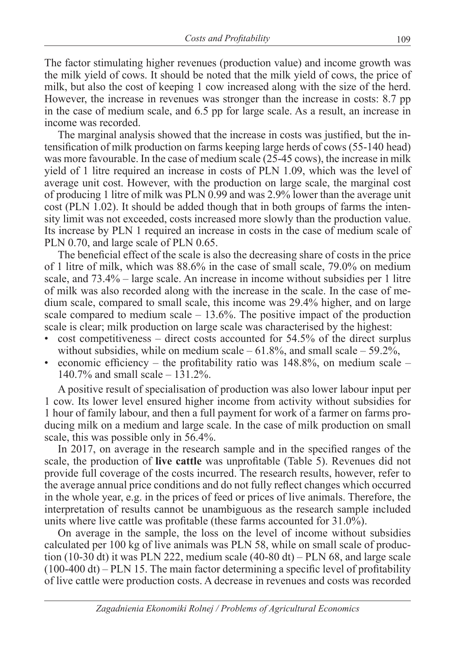The factor stimulating higher revenues (production value) and income growth was the milk yield of cows. It should be noted that the milk yield of cows, the price of milk, but also the cost of keeping 1 cow increased along with the size of the herd. However, the increase in revenues was stronger than the increase in costs: 8.7 pp in the case of medium scale, and 6.5 pp for large scale. As a result, an increase in income was recorded.

The marginal analysis showed that the increase in costs was justified, but the intensification of milk production on farms keeping large herds of cows (55-140 head) was more favourable. In the case of medium scale (25-45 cows), the increase in milk yield of 1 litre required an increase in costs of PLN 1.09, which was the level of average unit cost. However, with the production on large scale, the marginal cost of producing 1 litre of milk was PLN 0.99 and was 2.9% lower than the average unit cost (PLN 1.02). It should be added though that in both groups of farms the intensity limit was not exceeded, costs increased more slowly than the production value. Its increase by PLN 1 required an increase in costs in the case of medium scale of PLN 0.70, and large scale of PLN 0.65.

The beneficial effect of the scale is also the decreasing share of costs in the price of 1 litre of milk, which was 88.6% in the case of small scale, 79.0% on medium scale, and 73.4% – large scale. An increase in income without subsidies per 1 litre of milk was also recorded along with the increase in the scale. In the case of medium scale, compared to small scale, this income was 29.4% higher, and on large scale compared to medium scale  $-13.6\%$ . The positive impact of the production scale is clear; milk production on large scale was characterised by the highest:

- cost competitiveness direct costs accounted for 54.5% of the direct surplus without subsidies, while on medium scale  $-61.8\%$ , and small scale  $-59.2\%$ ,
- economic efficiency the profitability ratio was  $148.8\%$ , on medium scale 140.7% and small scale – 131.2%.

A positive result of specialisation of production was also lower labour input per 1 cow. Its lower level ensured higher income from activity without subsidies for 1 hour of family labour, and then a full payment for work of a farmer on farms producing milk on a medium and large scale. In the case of milk production on small scale, this was possible only in 56.4%.

In 2017, on average in the research sample and in the specified ranges of the scale, the production of **live cattle** was unprofitable (Table 5). Revenues did not provide full coverage of the costs incurred. The research results, however, refer to the average annual price conditions and do not fully reflect changes which occurred in the whole year, e.g. in the prices of feed or prices of live animals. Therefore, the interpretation of results cannot be unambiguous as the research sample included units where live cattle was profitable (these farms accounted for 31.0%).

On average in the sample, the loss on the level of income without subsidies calculated per 100 kg of live animals was PLN 58, while on small scale of production (10-30 dt) it was PLN 222, medium scale  $(40-80$  dt) – PLN 68, and large scale  $(100-400 \text{ dt})$  – PLN 15. The main factor determining a specific level of profitability of live cattle were production costs. A decrease in revenues and costs was recorded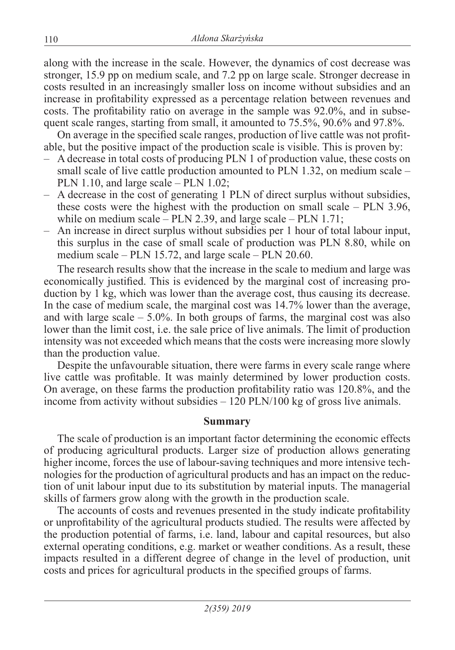along with the increase in the scale. However, the dynamics of cost decrease was stronger, 15.9 pp on medium scale, and 7.2 pp on large scale. Stronger decrease in costs resulted in an increasingly smaller loss on income without subsidies and an increase in profitability expressed as a percentage relation between revenues and costs. The profitability ratio on average in the sample was 92.0%, and in subsequent scale ranges, starting from small, it amounted to 75.5%, 90.6% and 97.8%.

On average in the specified scale ranges, production of live cattle was not profitable, but the positive impact of the production scale is visible. This is proven by:

- A decrease in total costs of producing PLN 1 of production value, these costs on small scale of live cattle production amounted to PLN 1.32, on medium scale – PLN 1.10, and large scale – PLN 1.02;
- A decrease in the cost of generating 1 PLN of direct surplus without subsidies, these costs were the highest with the production on small scale – PLN 3.96, while on medium scale – PLN 2.39, and large scale – PLN 1.71;
- An increase in direct surplus without subsidies per 1 hour of total labour input, this surplus in the case of small scale of production was PLN 8.80, while on medium scale – PLN 15.72, and large scale – PLN 20.60.

The research results show that the increase in the scale to medium and large was economically justified. This is evidenced by the marginal cost of increasing production by 1 kg, which was lower than the average cost, thus causing its decrease. In the case of medium scale, the marginal cost was 14.7% lower than the average, and with large scale  $-5.0\%$ . In both groups of farms, the marginal cost was also lower than the limit cost, i.e. the sale price of live animals. The limit of production intensity was not exceeded which means that the costs were increasing more slowly than the production value.

Despite the unfavourable situation, there were farms in every scale range where live cattle was profitable. It was mainly determined by lower production costs. On average, on these farms the production profitability ratio was 120.8%, and the income from activity without subsidies – 120 PLN/100 kg of gross live animals.

#### **Summary**

The scale of production is an important factor determining the economic effects of producing agricultural products. Larger size of production allows generating higher income, forces the use of labour-saving techniques and more intensive technologies for the production of agricultural products and has an impact on the reduction of unit labour input due to its substitution by material inputs. The managerial skills of farmers grow along with the growth in the production scale.

The accounts of costs and revenues presented in the study indicate profitability or unprofitability of the agricultural products studied. The results were affected by the production potential of farms, i.e. land, labour and capital resources, but also external operating conditions, e.g. market or weather conditions. As a result, these impacts resulted in a different degree of change in the level of production, unit costs and prices for agricultural products in the specified groups of farms.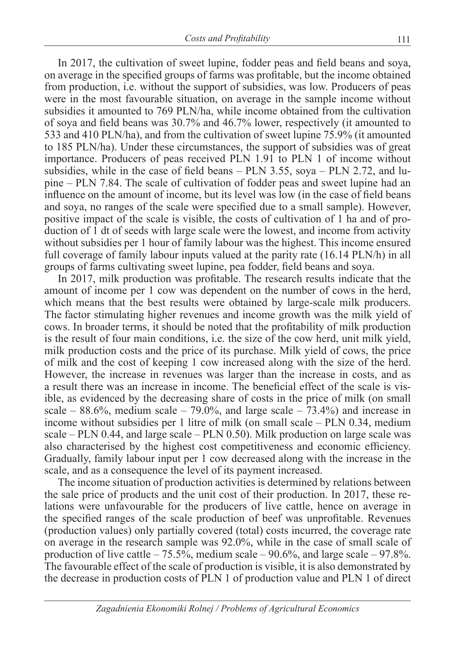In 2017, the cultivation of sweet lupine, fodder peas and field beans and soya, on average in the specified groups of farms was profitable, but the income obtained from production, i.e. without the support of subsidies, was low. Producers of peas were in the most favourable situation, on average in the sample income without subsidies it amounted to 769 PLN/ha, while income obtained from the cultivation of soya and field beans was 30.7% and 46.7% lower, respectively (it amounted to 533 and 410 PLN/ha), and from the cultivation of sweet lupine 75.9% (it amounted to 185 PLN/ha). Under these circumstances, the support of subsidies was of great importance. Producers of peas received PLN 1.91 to PLN 1 of income without subsidies, while in the case of field beans – PLN 3.55, soya – PLN 2.72, and lupine – PLN 7.84. The scale of cultivation of fodder peas and sweet lupine had an influence on the amount of income, but its level was low (in the case of field beans and soya, no ranges of the scale were specified due to a small sample). However, positive impact of the scale is visible, the costs of cultivation of 1 ha and of production of 1 dt of seeds with large scale were the lowest, and income from activity without subsidies per 1 hour of family labour was the highest. This income ensured full coverage of family labour inputs valued at the parity rate (16.14 PLN/h) in all groups of farms cultivating sweet lupine, pea fodder, field beans and soya.

In 2017, milk production was profitable. The research results indicate that the amount of income per 1 cow was dependent on the number of cows in the herd, which means that the best results were obtained by large-scale milk producers. The factor stimulating higher revenues and income growth was the milk yield of cows. In broader terms, it should be noted that the profitability of milk production is the result of four main conditions, i.e. the size of the cow herd, unit milk yield, milk production costs and the price of its purchase. Milk yield of cows, the price of milk and the cost of keeping 1 cow increased along with the size of the herd. However, the increase in revenues was larger than the increase in costs, and as a result there was an increase in income. The beneficial effect of the scale is visible, as evidenced by the decreasing share of costs in the price of milk (on small scale –  $88.6\%$ , medium scale –  $79.0\%$ , and large scale –  $73.4\%$ ) and increase in income without subsidies per 1 litre of milk (on small scale – PLN 0.34, medium scale –  $PLN$  0.44, and large scale –  $PLN$  0.50). Milk production on large scale was also characterised by the highest cost competitiveness and economic efficiency. Gradually, family labour input per 1 cow decreased along with the increase in the scale, and as a consequence the level of its payment increased.

The income situation of production activities is determined by relations between the sale price of products and the unit cost of their production. In 2017, these relations were unfavourable for the producers of live cattle, hence on average in the specified ranges of the scale production of beef was unprofitable. Revenues (production values) only partially covered (total) costs incurred, the coverage rate on average in the research sample was 92.0%, while in the case of small scale of production of live cattle  $-75.5\%$ , medium scale  $-90.6\%$ , and large scale  $-97.8\%$ . The favourable effect of the scale of production is visible, it is also demonstrated by the decrease in production costs of PLN 1 of production value and PLN 1 of direct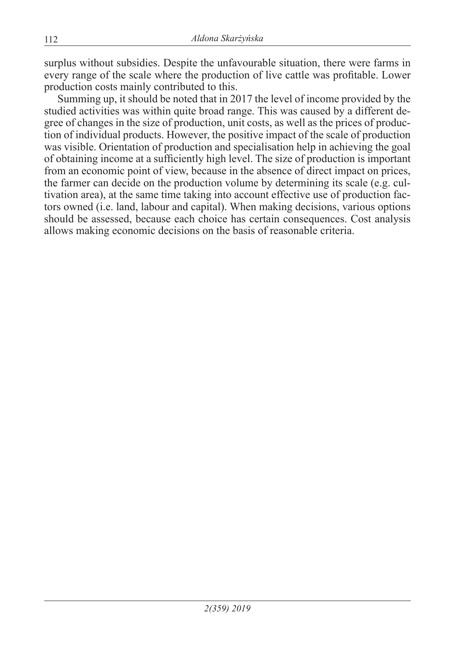surplus without subsidies. Despite the unfavourable situation, there were farms in every range of the scale where the production of live cattle was profitable. Lower production costs mainly contributed to this.

Summing up, it should be noted that in 2017 the level of income provided by the studied activities was within quite broad range. This was caused by a different degree of changes in the size of production, unit costs, as well as the prices of production of individual products. However, the positive impact of the scale of production was visible. Orientation of production and specialisation help in achieving the goal of obtaining income at a sufficiently high level. The size of production is important from an economic point of view, because in the absence of direct impact on prices, the farmer can decide on the production volume by determining its scale (e.g. cultivation area), at the same time taking into account effective use of production factors owned (i.e. land, labour and capital). When making decisions, various options should be assessed, because each choice has certain consequences. Cost analysis allows making economic decisions on the basis of reasonable criteria.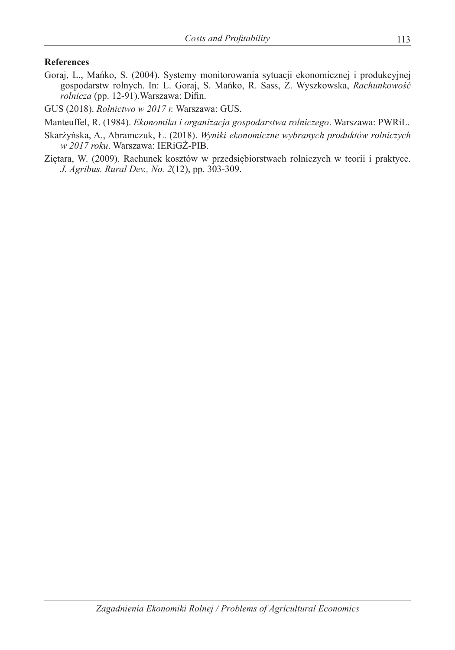#### **References**

Goraj, L., Mańko, S. (2004). Systemy monitorowania sytuacji ekonomicznej i produkcyjnej gospodarstw rolnych. In: L. Goraj, S. Mańko, R. Sass, Z. Wyszkowska, *Rachunkowość rolnicza* (pp. 12-91).Warszawa: Difin.

GUS (2018). *Rolnictwo w 2017 r.* Warszawa: GUS.

Manteuffel, R. (1984). *Ekonomika i organizacja gospodarstwa rolniczego*. Warszawa: PWRiL.

- Skarżyńska, A., Abramczuk, Ł. (2018). *Wyniki ekonomiczne wybranych produktów rolniczych w 2017 roku*. Warszawa: IERiGŻ-PIB.
- Ziętara, W. (2009). Rachunek kosztów w przedsiębiorstwach rolniczych w teorii i praktyce. *J. Agribus. Rural Dev., No. 2*(12), pp. 303-309.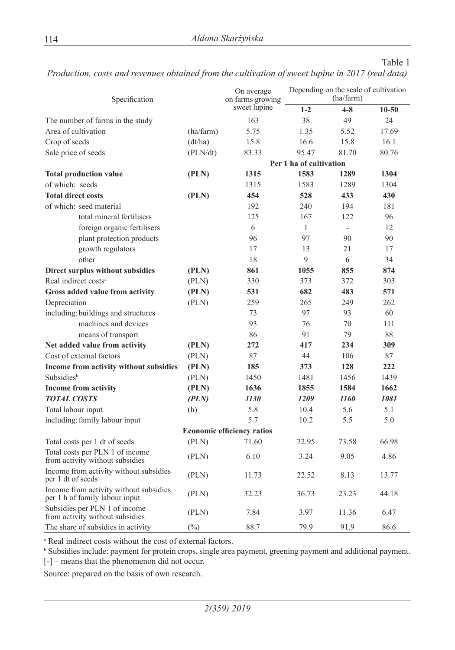| Specification                                                            |           | On average<br>on farms growing    |                         | Depending on the scale of cultivation<br>(ha/farm) |           |
|--------------------------------------------------------------------------|-----------|-----------------------------------|-------------------------|----------------------------------------------------|-----------|
|                                                                          |           | sweet lupine                      | $1 - 2$                 | $4 - 8$                                            | $10 - 50$ |
| The number of farms in the study                                         |           | 163                               | 38                      | 49                                                 | 24        |
| Area of cultivation                                                      | (ha/farm) | 5.75                              | 1.35                    | 5.52                                               | 17.69     |
| Crop of seeds                                                            | (dt/ha)   | 15.8                              | 16.6                    | 15.8                                               | 16.1      |
| Sale price of seeds                                                      | (PLN/dt)  | 83.33                             | 95.47                   | 81.70                                              | 80.76     |
|                                                                          |           |                                   | Per 1 ha of cultivation |                                                    |           |
| <b>Total production value</b>                                            | (PLN)     | 1315                              | 1583                    | 1289                                               | 1304      |
| of which: seeds                                                          |           | 1315                              | 1583                    | 1289                                               | 1304      |
| <b>Total direct costs</b>                                                | (PLN)     | 454                               | 528                     | 433                                                | 430       |
| of which: seed material                                                  |           | 192                               | 240                     | 194                                                | 181       |
| total mineral fertilisers                                                |           | 125                               | 167                     | 122                                                | 96        |
| foreign organic fertilisers                                              |           | 6                                 | 1                       |                                                    | 12        |
| plant protection products                                                |           | 96                                | 97                      | 90                                                 | 90        |
| growth regulators                                                        |           | 17                                | 13                      | 21                                                 | 17        |
| other                                                                    |           | 18                                | 9                       | 6                                                  | 34        |
| Direct surplus without subsidies                                         | (PLN)     | 861                               | 1055                    | 855                                                | 874       |
| Real indirect costs <sup>a</sup>                                         | (PLN)     | 330                               | 373                     | 372                                                | 303       |
| Gross added value from activity                                          | (PLN)     | 531                               | 682                     | 483                                                | 571       |
| Depreciation                                                             | (PLN)     | 259                               | 265                     | 249                                                | 262       |
| including: buildings and structures                                      |           | 73                                | 97                      | 93                                                 | 60        |
| machines and devices                                                     |           | 93                                | 76                      | 70                                                 | 111       |
| means of transport                                                       |           | 86                                | 91                      | 79                                                 | 88        |
| Net added value from activity                                            | (PLN)     | 272                               | 417                     | 234                                                | 309       |
| Cost of external factors                                                 | (PLN)     | 87                                | 44                      | 106                                                | 87        |
| Income from activity without subsidies                                   | (PLN)     | 185                               | 373                     | 128                                                | 222       |
| Subsidies <sup>b</sup>                                                   | (PLN)     | 1450                              | 1481                    | 1456                                               | 1439      |
| <b>Income from activity</b>                                              | (PLN)     | 1636                              | 1855                    | 1584                                               | 1662      |
| <b>TOTAL COSTS</b>                                                       | (PLN)     | <i>1130</i>                       | 1209                    | 1160                                               | 1081      |
| Total labour input                                                       | (h)       | 5.8                               | 10.4                    | 5.6                                                | 5.1       |
| including: family labour input                                           |           | 5.7                               | 10.2                    | 5.5                                                | 5.0       |
|                                                                          |           | <b>Economic efficiency ratios</b> |                         |                                                    |           |
| Total costs per 1 dt of seeds                                            | (PLN)     | 71.60                             | 72.95                   | 73.58                                              | 66.98     |
| Total costs per PLN 1 of income<br>from activity without subsidies       | (PLN)     | 6.10                              | 3.24                    | 9.05                                               | 4.86      |
| Income from activity without subsidies<br>per 1 dt of seeds              | (PLN)     | 11.73                             | 22.52                   | 8.13                                               | 13.77     |
| Income from activity without subsidies<br>per 1 h of family labour input | (PLN)     | 32.23                             | 36.73                   | 23.23                                              | 44.18     |
| Subsidies per PLN 1 of income<br>from activity without subsidies         | (PLN)     | 7.84                              | 3.97                    | 11.36                                              | 6.47      |
| The share of subsidies in activity                                       | $(\%)$    | 88.7                              | 79.9                    | 91.9                                               | 86.6      |

*Production, costs and revenues obtained from the cultivation of sweet lupine in 2017 (real data)*

a Real indirect costs without the cost of external factors.

<sup>b</sup> Subsidies include: payment for protein crops, single area payment, greening payment and additional payment.  $[-]$  – means that the phenomenon did not occur.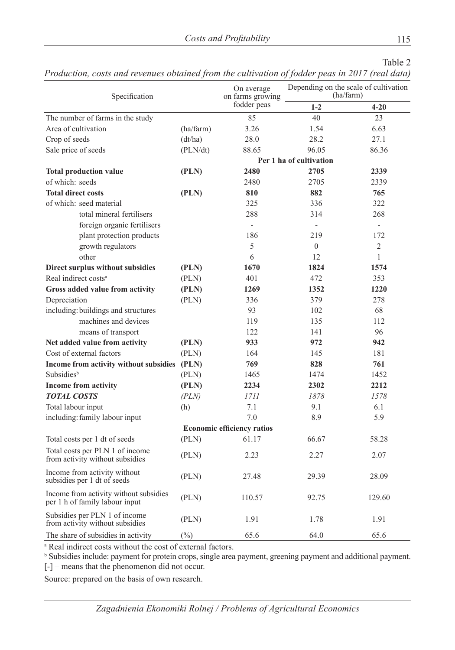| Production, costs and revenues obtained from the cultivation of fodder peas in 2017 (real data) |  |  |  |
|-------------------------------------------------------------------------------------------------|--|--|--|
|-------------------------------------------------------------------------------------------------|--|--|--|

| Specification                                                            |           | On average<br>on farms growing    |                         | Depending on the scale of cultivation<br>(ha/farm) |
|--------------------------------------------------------------------------|-----------|-----------------------------------|-------------------------|----------------------------------------------------|
|                                                                          |           | fodder peas                       | $1 - 2$                 | $4 - 20$                                           |
| The number of farms in the study                                         |           | 85                                | 40                      | 23                                                 |
| Area of cultivation                                                      | (ha/farm) | 3.26                              | 1.54                    | 6.63                                               |
| Crop of seeds                                                            | (dt/ha)   | 28.0                              | 28.2                    | 27.1                                               |
| Sale price of seeds                                                      | (PLN/dt)  | 88.65                             | 96.05                   | 86.36                                              |
|                                                                          |           |                                   | Per 1 ha of cultivation |                                                    |
| <b>Total production value</b>                                            | (PLN)     | 2480                              | 2705                    | 2339                                               |
| of which: seeds                                                          |           | 2480                              | 2705                    | 2339                                               |
| <b>Total direct costs</b>                                                | (PLN)     | 810                               | 882                     | 765                                                |
| of which: seed material                                                  |           | 325                               | 336                     | 322                                                |
| total mineral fertilisers                                                |           | 288                               | 314                     | 268                                                |
| foreign organic fertilisers                                              |           | $\bar{a}$                         | $\blacksquare$          | $\equiv$                                           |
| plant protection products                                                |           | 186                               | 219                     | 172                                                |
| growth regulators                                                        |           | 5                                 | $\Omega$                | 2                                                  |
| other                                                                    |           | 6                                 | 12                      | 1                                                  |
| <b>Direct surplus without subsidies</b>                                  | (PLN)     | 1670                              | 1824                    | 1574                                               |
| Real indirect costs <sup>a</sup>                                         | (PLN)     | 401                               | 472                     | 353                                                |
| Gross added value from activity                                          | (PLN)     | 1269                              | 1352                    | 1220                                               |
| Depreciation                                                             | (PLN)     | 336                               | 379                     | 278                                                |
| including: buildings and structures                                      |           | 93                                | 102                     | 68                                                 |
| machines and devices                                                     |           | 119                               | 135                     | 112                                                |
| means of transport                                                       |           | 122                               | 141                     | 96                                                 |
| Net added value from activity                                            | (PLN)     | 933                               | 972                     | 942                                                |
| Cost of external factors                                                 | (PLN)     | 164                               | 145                     | 181                                                |
| Income from activity without subsidies                                   | (PLN)     | 769                               | 828                     | 761                                                |
| Subsidies <sup>b</sup>                                                   | (PLN)     | 1465                              | 1474                    | 1452                                               |
| <b>Income from activity</b>                                              | (PLN)     | 2234                              | 2302                    | 2212                                               |
| <b>TOTAL COSTS</b>                                                       | (PLN)     | 1711                              | 1878                    | 1578                                               |
| Total labour input                                                       | (h)       | 7.1                               | 9.1                     | 6.1                                                |
| including: family labour input                                           |           | 7.0                               | 8.9                     | 5.9                                                |
|                                                                          |           | <b>Economic efficiency ratios</b> |                         |                                                    |
| Total costs per 1 dt of seeds                                            | (PLN)     | 61.17                             | 66.67                   | 58.28                                              |
| Total costs per PLN 1 of income<br>from activity without subsidies       | (PLN)     | 2.23                              | 2.27                    | 2.07                                               |
| Income from activity without<br>subsidies per 1 dt of seeds              | (PLN)     | 27.48                             | 29.39                   | 28.09                                              |
| Income from activity without subsidies<br>per 1 h of family labour input | (PLN)     | 110.57                            | 92.75                   | 129.60                                             |
| Subsidies per PLN 1 of income<br>from activity without subsidies         | (PLN)     | 1.91                              | 1.78                    | 1.91                                               |
| The share of subsidies in activity                                       | $(\%)$    | 65.6                              | 64.0                    | 65.6                                               |

a Real indirect costs without the cost of external factors.

<sup>b</sup> Subsidies include: payment for protein crops, single area payment, greening payment and additional payment. [-] – means that the phenomenon did not occur.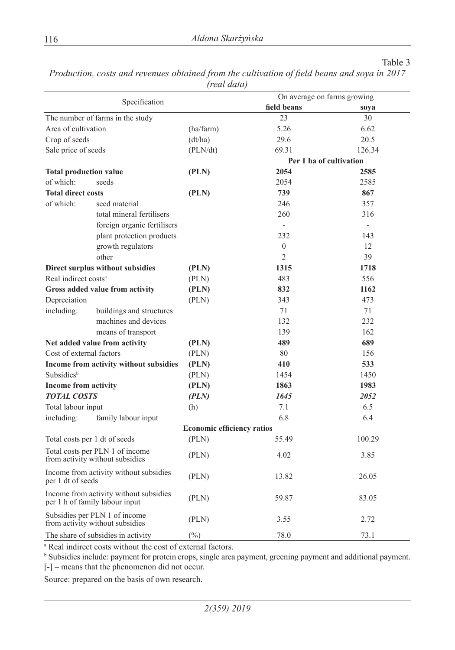|                                  | Specification                                                            |                                   | On average on farms growing |        |
|----------------------------------|--------------------------------------------------------------------------|-----------------------------------|-----------------------------|--------|
|                                  |                                                                          |                                   | field beans                 | soya   |
|                                  | The number of farms in the study                                         |                                   | 23                          | 30     |
| Area of cultivation              |                                                                          | (ha/farm)                         | 5.26                        | 6.62   |
| Crop of seeds                    |                                                                          | (dt/ha)                           | 29.6                        | 20.5   |
| Sale price of seeds              |                                                                          | (PLN/dt)                          | 69.31                       | 126.34 |
|                                  |                                                                          |                                   | Per 1 ha of cultivation     |        |
| <b>Total production value</b>    |                                                                          | (PLN)                             | 2054                        | 2585   |
| of which:                        | seeds                                                                    |                                   | 2054                        | 2585   |
| <b>Total direct costs</b>        |                                                                          | (PLN)                             | 739                         | 867    |
| of which:                        | seed material                                                            |                                   | 246                         | 357    |
|                                  | total mineral fertilisers                                                |                                   | 260                         | 316    |
|                                  | foreign organic fertilisers                                              |                                   | $\omega$                    | $\sim$ |
|                                  | plant protection products                                                |                                   | 232                         | 143    |
|                                  | growth regulators                                                        |                                   | $\overline{0}$              | 12     |
|                                  | other                                                                    |                                   | $\overline{2}$              | 39     |
|                                  | Direct surplus without subsidies                                         | (PLN)                             | 1315                        | 1718   |
| Real indirect costs <sup>a</sup> |                                                                          | (PLN)                             | 483                         | 556    |
|                                  | Gross added value from activity                                          | (PLN)                             | 832                         | 1162   |
| Depreciation                     |                                                                          | (PLN)                             | 343                         | 473    |
| including:                       | buildings and structures                                                 |                                   | 71                          | 71     |
|                                  | machines and devices                                                     |                                   | 132                         | 232    |
|                                  | means of transport                                                       |                                   | 139                         | 162    |
|                                  | Net added value from activity                                            | (PLN)                             | 489                         | 689    |
| Cost of external factors         |                                                                          | (PLN)                             | 80                          | 156    |
|                                  | Income from activity without subsidies                                   | (PLN)                             | 410                         | 533    |
| <b>Subsidies</b> <sup>b</sup>    |                                                                          | (PLN)                             | 1454                        | 1450   |
| <b>Income from activity</b>      |                                                                          | (PLN)                             | 1863                        | 1983   |
| <b>TOTAL COSTS</b>               |                                                                          | (PLN)                             | 1645                        | 2052   |
| Total labour input               |                                                                          | (h)                               | 7.1                         | 6.5    |
| including:                       | family labour input                                                      |                                   | 6.8                         | 6.4    |
|                                  |                                                                          | <b>Economic efficiency ratios</b> |                             |        |
|                                  | Total costs per 1 dt of seeds                                            | (PLN)                             | 55.49                       | 100.29 |
|                                  | Total costs per PLN 1 of income<br>from activity without subsidies       | (PLN)                             | 4.02                        | 3.85   |
| per 1 dt of seeds                | Income from activity without subsidies                                   | (PLN)                             | 13.82                       | 26.05  |
|                                  | Income from activity without subsidies<br>per 1 h of family labour input | (PLN)                             | 59.87                       | 83.05  |
|                                  | Subsidies per PLN 1 of income<br>from activity without subsidies         | (PLN)                             | 3.55                        | 2.72   |
|                                  | The share of subsidies in activity                                       | $(\%)$                            | 78.0                        | 73.1   |

*Production, costs and revenues obtained from the cultivation of field beans and soya in 2017 (real data)*

a Real indirect costs without the cost of external factors.

b Subsidies include: payment for protein crops, single area payment, greening payment and additional payment. [-] – means that the phenomenon did not occur.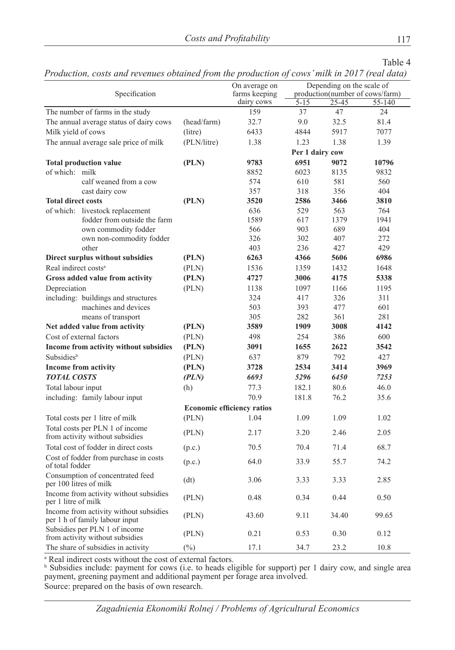*Production, costs and revenues obtained from the production of cows' milk in 2017 (real data)*

|                                  | ,                                                                        |             |                                   | 7               |                           | $\cdots$                        |
|----------------------------------|--------------------------------------------------------------------------|-------------|-----------------------------------|-----------------|---------------------------|---------------------------------|
|                                  | Specification                                                            |             | On average on<br>farms keeping    |                 | Depending on the scale of | production(number of cows/farm) |
|                                  |                                                                          |             | dairy cows                        | $5 - 15$        | 25-45                     | 55-140                          |
|                                  | The number of farms in the study                                         |             | 159                               | 37              | 47                        | 24                              |
|                                  | The annual average status of dairy cows                                  | (head/farm) | 32.7                              | 9.0             | 32.5                      | 81.4                            |
| Milk yield of cows               |                                                                          | (litre)     | 6433                              | 4844            | 5917                      | 7077                            |
|                                  | The annual average sale price of milk                                    | (PLN/litre) | 1.38                              | 1.23            | 1.38                      | 1.39                            |
|                                  |                                                                          |             |                                   | Per 1 dairy cow |                           |                                 |
|                                  | <b>Total production value</b>                                            | (PLN)       | 9783                              | 6951            | 9072                      | 10796                           |
| of which: milk                   |                                                                          |             | 8852                              | 6023            | 8135                      | 9832                            |
|                                  | calf weaned from a cow                                                   |             | 574                               | 610             | 581                       | 560                             |
|                                  | cast dairy cow                                                           |             | 357                               | 318             | 356                       | 404                             |
| <b>Total direct costs</b>        |                                                                          | (PLN)       | 3520                              | 2586            | 3466                      | 3810                            |
|                                  | of which: livestock replacement                                          |             | 636                               | 529             | 563                       | 764                             |
|                                  | fodder from outside the farm                                             |             | 1589                              | 617             | 1379                      | 1941                            |
|                                  | own commodity fodder                                                     |             | 566                               | 903             | 689                       | 404                             |
|                                  | own non-commodity fodder                                                 |             | 326                               | 302             | 407                       | 272                             |
|                                  | other                                                                    |             | 403                               | 236             | 427                       | 429                             |
|                                  | Direct surplus without subsidies                                         | (PLN)       | 6263                              | 4366            | 5606                      | 6986                            |
| Real indirect costs <sup>a</sup> |                                                                          | (PLN)       | 1536                              | 1359            | 1432                      | 1648                            |
|                                  | Gross added value from activity                                          | (PLN)       | 4727                              | 3006            | 4175                      | 5338                            |
| Depreciation                     |                                                                          | (PLN)       | 1138                              | 1097            | 1166                      | 1195                            |
|                                  | including: buildings and structures                                      |             | 324                               | 417             | 326                       | 311                             |
|                                  | machines and devices                                                     |             | 503                               | 393             | 477                       | 601                             |
|                                  | means of transport                                                       |             | 305                               | 282             | 361                       | 281                             |
|                                  | Net added value from activity                                            | (PLN)       | 3589                              | 1909            | 3008                      | 4142                            |
|                                  | Cost of external factors                                                 | (PLN)       | 498                               | 254             | 386                       | 600                             |
|                                  | Income from activity without subsidies                                   | (PLN)       | 3091                              | 1655            | 2622                      | 3542                            |
| Subsidies <sup>b</sup>           |                                                                          | (PLN)       | 637                               | 879             | 792                       | 427                             |
|                                  | <b>Income from activity</b>                                              | (PLN)       | 3728                              | 2534            | 3414                      | 3969                            |
| <b>TOTAL COSTS</b>               |                                                                          | (PLN)       | 6693                              | 5296            | 6450                      | 7253                            |
| Total labour input               |                                                                          | (h)         | 77.3                              | 182.1           | 80.6                      | 46.0                            |
|                                  | including: family labour input                                           |             | 70.9                              | 181.8           | 76.2                      | 35.6                            |
|                                  |                                                                          |             | <b>Economic efficiency ratios</b> |                 |                           |                                 |
|                                  | Total costs per 1 litre of milk                                          | (PLN)       | 1.04                              | 1.09            | 1.09                      | 1.02                            |
|                                  | Total costs per PLN 1 of income<br>from activity without subsidies       | (PLN)       | 2.17                              | 3.20            | 2.46                      | 2.05                            |
|                                  | Total cost of fodder in direct costs                                     | (p.c.)      | 70.5                              | 70.4            | 71.4                      | 68.7                            |
| of total fodder                  | Cost of fodder from purchase in costs                                    | (p.c.)      | 64.0                              | 33.9            | 55.7                      | 74.2                            |
|                                  | Consumption of concentrated feed<br>per 100 litres of milk               | (dt)        | 3.06                              | 3.33            | 3.33                      | 2.85                            |
| per 1 litre of milk              | Income from activity without subsidies                                   | (PLN)       | 0.48                              | 0.34            | 0.44                      | 0.50                            |
|                                  | Income from activity without subsidies<br>per 1 h of family labour input | (PLN)       | 43.60                             | 9.11            | 34.40                     | 99.65                           |
|                                  | Subsidies per PLN 1 of income<br>from activity without subsidies         | (PLN)       | 0.21                              | 0.53            | 0.30                      | 0.12                            |
|                                  | The share of subsidies in activity                                       | $(\%)$      | 17.1                              | 34.7            | 23.2                      | 10.8                            |

<sup>a</sup> Real indirect costs without the cost of external factors.<br><sup>b</sup> Subsidies include: payment for cows (i.e. to heads eligible for support) per 1 dairy cow, and single area payment, greening payment and additional payment per forage area involved. Source: prepared on the basis of own research.

*Zagadnienia Ekonomiki Rolnej / Problems of Agricultural Economics*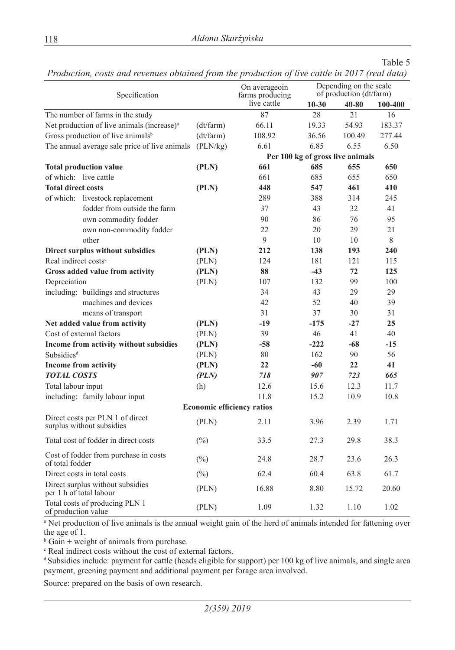|  | Production, costs and revenues obtained from the production of live cattle in 2017 (real data) |  |  |  |  |
|--|------------------------------------------------------------------------------------------------|--|--|--|--|
|--|------------------------------------------------------------------------------------------------|--|--|--|--|

|                                  |                                                               |           | On averageoin                     |                                  | Depending on the scale  |         |
|----------------------------------|---------------------------------------------------------------|-----------|-----------------------------------|----------------------------------|-------------------------|---------|
|                                  | Specification                                                 |           | farms producing                   |                                  | of production (dt/farm) |         |
|                                  |                                                               |           | live cattle                       | $10 - 30$                        | $40 - 80$               | 100-400 |
|                                  | The number of farms in the study                              |           | 87                                | 28                               | 21                      | 16      |
|                                  | Net production of live animals (increase) <sup>a</sup>        | (dt/farm) | 66.11                             | 19.33                            | 54.93                   | 183.37  |
|                                  | Gross production of live animals <sup>b</sup>                 | (dt/farm) | 108.92                            | 36.56                            | 100.49                  | 277.44  |
|                                  | The annual average sale price of live animals (PLN/kg)        |           | 6.61                              | 6.85                             | 6.55                    | 6.50    |
|                                  |                                                               |           |                                   | Per 100 kg of gross live animals |                         |         |
|                                  | <b>Total production value</b>                                 | (PLN)     | 661                               | 685                              | 655                     | 650     |
| of which: live cattle            |                                                               |           | 661                               | 685                              | 655                     | 650     |
| <b>Total direct costs</b>        |                                                               | (PLN)     | 448                               | 547                              | 461                     | 410     |
|                                  | of which: livestock replacement                               |           | 289                               | 388                              | 314                     | 245     |
|                                  | fodder from outside the farm                                  |           | 37                                | 43                               | 32                      | 41      |
|                                  | own commodity fodder                                          |           | 90                                | 86                               | 76                      | 95      |
|                                  | own non-commodity fodder                                      |           | 22                                | 20                               | 29                      | 21      |
|                                  | other                                                         |           | 9                                 | 10                               | $10\,$                  | 8       |
|                                  | Direct surplus without subsidies                              | (PLN)     | 212                               | 138                              | 193                     | 240     |
| Real indirect costs <sup>c</sup> |                                                               | (PLN)     | 124                               | 181                              | 121                     | 115     |
|                                  | Gross added value from activity                               | (PLN)     | 88                                | $-43$                            | 72                      | 125     |
| Depreciation                     |                                                               | (PLN)     | 107                               | 132                              | 99                      | 100     |
|                                  | including: buildings and structures                           |           | 34                                | 43                               | 29                      | 29      |
|                                  | machines and devices                                          |           | 42                                | 52                               | 40                      | 39      |
|                                  | means of transport                                            |           | 31                                | 37                               | 30                      | 31      |
|                                  | Net added value from activity                                 | (PLN)     | $-19$                             | $-175$                           | $-27$                   | 25      |
|                                  | Cost of external factors                                      | (PLN)     | 39                                | 46                               | 41                      | 40      |
|                                  | Income from activity without subsidies                        | (PLN)     | $-58$                             | $-222$                           | $-68$                   | $-15$   |
| Subsidies <sup>d</sup>           |                                                               | (PLN)     | 80                                | 162                              | 90                      | 56      |
|                                  | <b>Income from activity</b>                                   | (PLN)     | 22                                | -60                              | 22                      | 41      |
| <b>TOTAL COSTS</b>               |                                                               | (PLN)     | 718                               | 907                              | 723                     | 665     |
| Total labour input               |                                                               | (h)       | 12.6                              | 15.6                             | 12.3                    | 11.7    |
|                                  | including: family labour input                                |           | 11.8                              | 15.2                             | 10.9                    | 10.8    |
|                                  |                                                               |           | <b>Economic efficiency ratios</b> |                                  |                         |         |
|                                  | Direct costs per PLN 1 of direct<br>surplus without subsidies | (PLN)     | 2.11                              | 3.96                             | 2.39                    | 1.71    |
|                                  | Total cost of fodder in direct costs                          | $(\%)$    | 33.5                              | 27.3                             | 29.8                    | 38.3    |
| of total fodder                  | Cost of fodder from purchase in costs                         | $(\%)$    | 24.8                              | 28.7                             | 23.6                    | 26.3    |
|                                  | Direct costs in total costs                                   | $(\%)$    | 62.4                              | 60.4                             | 63.8                    | 61.7    |
|                                  | Direct surplus without subsidies<br>per 1 h of total labour   | (PLN)     | 16.88                             | 8.80                             | 15.72                   | 20.60   |
| of production value              | Total costs of producing PLN 1                                | (PLN)     | 1.09                              | 1.32                             | 1.10                    | 1.02    |

a Net production of live animals is the annual weight gain of the herd of animals intended for fattening over the age of 1.

 $b$  Gain + weight of animals from purchase.

c Real indirect costs without the cost of external factors.

<sup>d</sup>Subsidies include: payment for cattle (heads eligible for support) per 100 kg of live animals, and single area payment, greening payment and additional payment per forage area involved.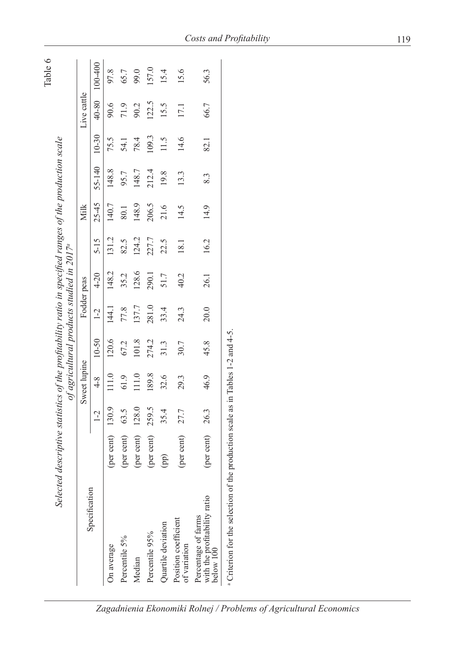|                                                                                            |                                                                                                        |       |              |                                           |       |             |          |           |        |           |             | Table 6 |
|--------------------------------------------------------------------------------------------|--------------------------------------------------------------------------------------------------------|-------|--------------|-------------------------------------------|-------|-------------|----------|-----------|--------|-----------|-------------|---------|
|                                                                                            | Selected descriptive statistics of the profitability ratio in specified ranges of the production scale |       |              | of agricultural products studied in 2017ª |       |             |          |           |        |           |             |         |
|                                                                                            |                                                                                                        |       | Sweet lupine |                                           |       | Fodder peas |          | Milk      |        |           | Live cattle |         |
| Specification                                                                              |                                                                                                        | $1-2$ | $4 - 8$      | $10 - 50$                                 | $1-2$ | $4 - 20$    | $5 - 15$ | $25 - 45$ | 55-140 | $10 - 30$ | 40-80       | 100-400 |
| On average                                                                                 | (per cent)                                                                                             | 130.9 | 11.0         | 120.6                                     | 144.1 | 148.2       | 131.2    | 140.7     | 148.8  | 75.5      | 90.6        | 97.8    |
| Percentile 5%                                                                              | (per cent)                                                                                             | 63.5  | 61.9         | 67.2                                      | 77.8  | 35.2        | 82.5     | 80.1      | 95.7   | 54.1      | 71.9        | 65.7    |
| Median                                                                                     | (per cent)                                                                                             | 128.0 | 111.0        | 101.8                                     | 137.7 | 128.6       | 124.2    | 148.9     | 148.7  | 78.4      | 90.2        | 99.0    |
| Percentile 95%                                                                             | (per cent)                                                                                             | 259.5 | 189.8        | 274.2                                     | 281.0 | 290.1       | 227.7    | 206.5     | 212.4  | 109.3     | 122.5       | 157.0   |
| Quartile deviation                                                                         | (pp)                                                                                                   | 35.4  | 32.6         | 31.3                                      | 33.4  | 51.7        | 22.5     | 21.6      | 19.8   | 11.5      | 15.5        | 15.4    |
| Position coefficient<br>of variation                                                       | (per cent)                                                                                             | 27.7  | 29.3         | 30.7                                      | 24.3  | 40.2        | 181      | 14.5      | 13.3   | 14.6      | 17.1        | 15.6    |
| with the profitability ratio<br>Percentage of farms<br>below 100                           | (per cent)                                                                                             | 26.3  | 46.9         | 45.8                                      | 20.0  | 26.1        | 16.2     | 14.9      | 8.3    | 82.1      | 66.7        | 56.3    |
| <sup>a</sup> Criterion for the selection of the production scale as in Tables 1-2 and 4-5. |                                                                                                        |       |              |                                           |       |             |          |           |        |           |             |         |